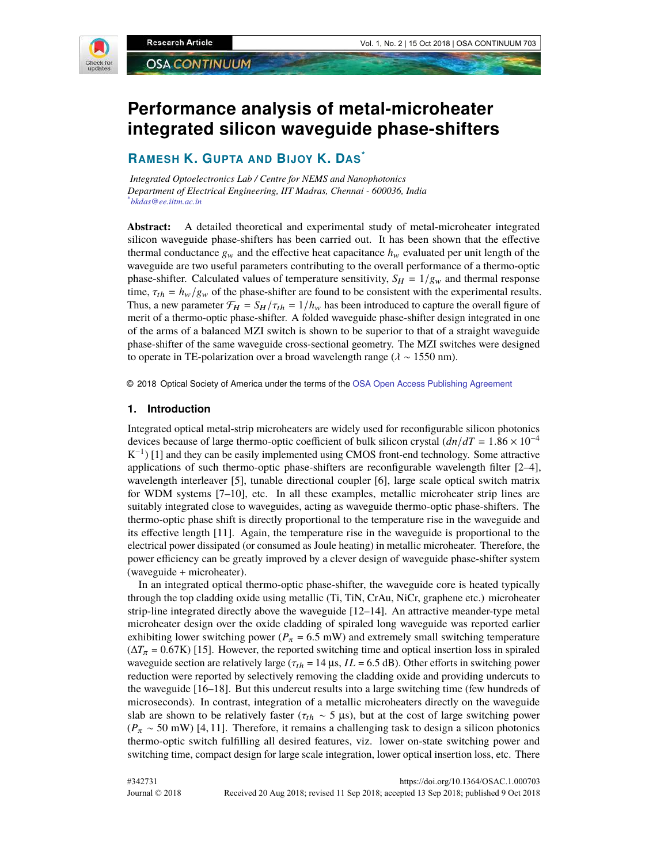

# **Performance analysis of metal-microheater integrated silicon waveguide phase-shifters**

# **RAMESH K. GUPTA AND BIJOY K. DAS\***

*Integrated Optoelectronics Lab / Centre for NEMS and Nanophotonics Department of Electrical Engineering, IIT Madras, Chennai - 600036, India \*bkdas@ee.iitm.ac.in*

**Abstract:** A detailed theoretical and experimental study of metal-microheater integrated silicon waveguide phase-shifters has been carried out. It has been shown that the effective thermal conductance  $g_w$  and the effective heat capacitance  $h_w$  evaluated per unit length of the waveguide are two useful parameters contributing to the overall performance of a thermo-optic phase-shifter. Calculated values of temperature sensitivity,  $S_H = 1/g_w$  and thermal response time,  $\tau_{th} = h_w/g_w$  of the phase-shifter are found to be consistent with the experimental results. Thus, a new parameter  $\mathcal{F}_H = S_H / \tau_{th} = 1/h_w$  has been introduced to capture the overall figure of merit of a thermo-optic phase-shifter. A folded waveguide phase-shifter design integrated in one of the arms of a balanced MZI switch is shown to be superior to that of a straight waveguide phase-shifter of the same waveguide cross-sectional geometry. The MZI switches were designed to operate in TE-polarization over a broad wavelength range ( $\lambda \sim 1550$  nm).

© 2018 Optical Society of America under the terms of the OSA Open Access Publishing Agreement

#### **1. Introduction**

Integrated optical metal-strip microheaters are widely used for reconfigurable silicon photonics devices because of large thermo-optic coefficient of bulk silicon crystal  $(dn/dT = 1.86 \times 10^{-4}$  $K^{-1}$ ) [1] and they can be easily implemented using CMOS front-end technology. Some attractive applications of such thermo-optic phase-shifters are reconfigurable wavelength filter [2–4], wavelength interleaver [5], tunable directional coupler [6], large scale optical switch matrix for WDM systems [7–10], etc. In all these examples, metallic microheater strip lines are suitably integrated close to waveguides, acting as waveguide thermo-optic phase-shifters. The thermo-optic phase shift is directly proportional to the temperature rise in the waveguide and its effective length [11]. Again, the temperature rise in the waveguide is proportional to the electrical power dissipated (or consumed as Joule heating) in metallic microheater. Therefore, the power efficiency can be greatly improved by a clever design of waveguide phase-shifter system (waveguide + microheater).

In an integrated optical thermo-optic phase-shifter, the waveguide core is heated typically through the top cladding oxide using metallic (Ti, TiN, CrAu, NiCr, graphene etc.) microheater strip-line integrated directly above the waveguide [12–14]. An attractive meander-type metal microheater design over the oxide cladding of spiraled long waveguide was reported earlier exhibiting lower switching power ( $P_\pi$  = 6.5 mW) and extremely small switching temperature  $(\Delta T_{\pi} = 0.67 \text{K})$  [15]. However, the reported switching time and optical insertion loss in spiraled waveguide section are relatively large ( $\tau_{th} = 14 \,\mu s$ ,  $IL = 6.5 \,\text{dB}$ ). Other efforts in switching power reduction were reported by selectively removing the cladding oxide and providing undercuts to the waveguide [16–18]. But this undercut results into a large switching time (few hundreds of microseconds). In contrast, integration of a metallic microheaters directly on the waveguide slab are shown to be relatively faster ( $\tau_{th} \sim 5 \text{ }\mu\text{s}$ ), but at the cost of large switching power  $(P_\pi \sim 50 \text{ mW})$  [4, 11]. Therefore, it remains a challenging task to design a silicon photonics thermo-optic switch fulfilling all desired features, viz. lower on-state switching power and switching time, compact design for large scale integration, lower optical insertion loss, etc. There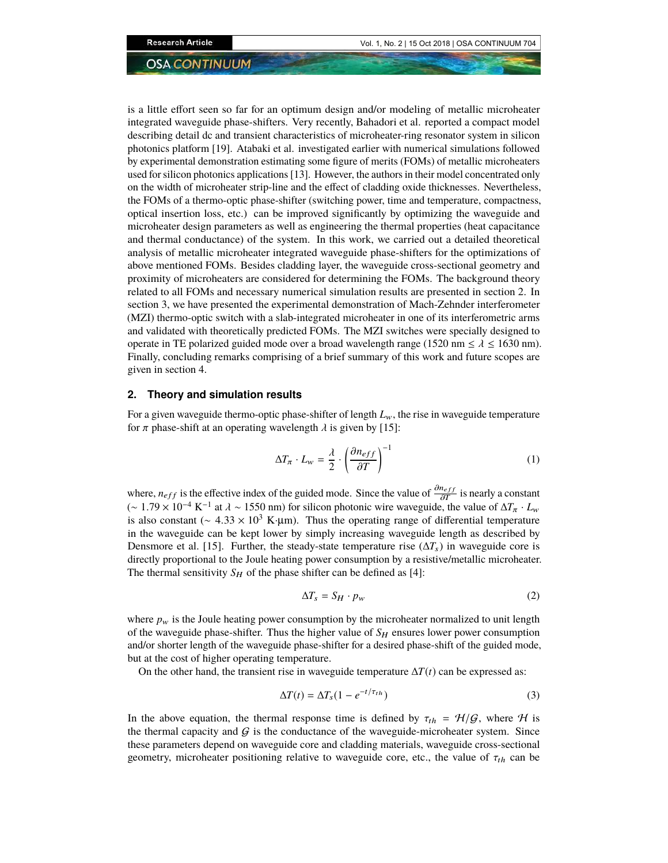is a little effort seen so far for an optimum design and/or modeling of metallic microheater integrated waveguide phase-shifters. Very recently, Bahadori et al. reported a compact model describing detail dc and transient characteristics of microheater-ring resonator system in silicon photonics platform [19]. Atabaki et al. investigated earlier with numerical simulations followed by experimental demonstration estimating some figure of merits (FOMs) of metallic microheaters used for silicon photonics applications [13]. However, the authors in their model concentrated only on the width of microheater strip-line and the effect of cladding oxide thicknesses. Nevertheless, the FOMs of a thermo-optic phase-shifter (switching power, time and temperature, compactness, optical insertion loss, etc.) can be improved significantly by optimizing the waveguide and microheater design parameters as well as engineering the thermal properties (heat capacitance and thermal conductance) of the system. In this work, we carried out a detailed theoretical analysis of metallic microheater integrated waveguide phase-shifters for the optimizations of above mentioned FOMs. Besides cladding layer, the waveguide cross-sectional geometry and proximity of microheaters are considered for determining the FOMs. The background theory related to all FOMs and necessary numerical simulation results are presented in section 2. In section 3, we have presented the experimental demonstration of Mach-Zehnder interferometer (MZI) thermo-optic switch with a slab-integrated microheater in one of its interferometric arms and validated with theoretically predicted FOMs. The MZI switches were specially designed to operate in TE polarized guided mode over a broad wavelength range (1520 nm  $\le \lambda \le 1630$  nm). Finally, concluding remarks comprising of a brief summary of this work and future scopes are given in section 4.

#### **2. Theory and simulation results**

For a given waveguide thermo-optic phase-shifter of length  $L_w$ , the rise in waveguide temperature for  $\pi$  phase-shift at an operating wavelength  $\lambda$  is given by [15]:

$$
\Delta T_{\pi} \cdot L_{w} = \frac{\lambda}{2} \cdot \left(\frac{\partial n_{eff}}{\partial T}\right)^{-1} \tag{1}
$$

where,  $n_{eff}$  is the effective index of the guided mode. Since the value of  $\frac{\partial n_{eff}}{\partial T}$  is nearly a constant  $($  ~ 1.79 × 10<sup>-4</sup> K<sup>-1</sup> at  $\lambda$  ~ 1550 nm) for silicon photonic wire waveguide, the value of  $\Delta T_{\pi} \cdot L_{w}$ is also constant ( $\sim 4.33 \times 10^3$  K·µm). Thus the operating range of differential temperature in the waveguide can be kept lower by simply increasing waveguide length as described by Densmore et al. [15]. Further, the steady-state temperature rise  $(\Delta T_s)$  in waveguide core is directly proportional to the Joule heating power consumption by a resistive/metallic microheater. The thermal sensitivity  $S_H$  of the phase shifter can be defined as [4]:

$$
\Delta T_s = S_H \cdot p_w \tag{2}
$$

where  $p_w$  is the Joule heating power consumption by the microheater normalized to unit length of the waveguide phase-shifter. Thus the higher value of  $S_H$  ensures lower power consumption and/or shorter length of the waveguide phase-shifter for a desired phase-shift of the guided mode, but at the cost of higher operating temperature.

On the other hand, the transient rise in waveguide temperature ∆*T*(*t*) can be expressed as:

$$
\Delta T(t) = \Delta T_s (1 - e^{-t/\tau_{th}})
$$
\n(3)

In the above equation, the thermal response time is defined by  $\tau_{th} = \mathcal{H}/\mathcal{G}$ , where  $\mathcal{H}$  is the thermal capacity and  $G$  is the conductance of the waveguide-microheater system. Since these parameters depend on waveguide core and cladding materials, waveguide cross-sectional geometry, microheater positioning relative to waveguide core, etc., the value of  $\tau_{th}$  can be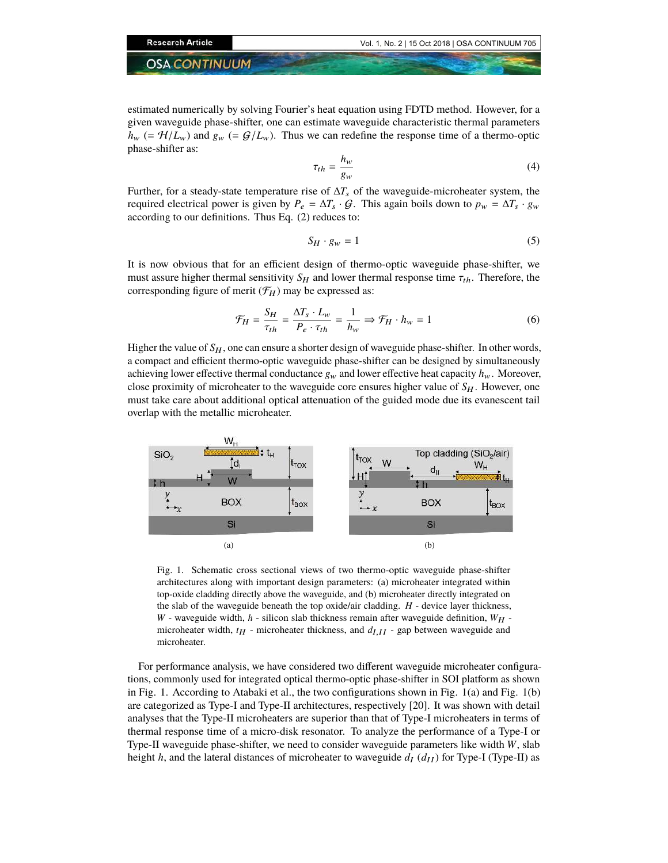estimated numerically by solving Fourier's heat equation using FDTD method. However, for a given waveguide phase-shifter, one can estimate waveguide characteristic thermal parameters  $h_w$  (=  $\mathcal{H}/L_w$ ) and  $g_w$  (=  $\mathcal{G}/L_w$ ). Thus we can redefine the response time of a thermo-optic phase-shifter as:

$$
\tau_{th} = \frac{h_w}{g_w} \tag{4}
$$

Further, for a steady-state temperature rise of  $\Delta T_s$  of the waveguide-microheater system, the required electrical power is given by  $P_e = \Delta T_s \cdot \mathcal{G}$ . This again boils down to  $p_w = \Delta T_s \cdot g_w$ according to our definitions. Thus Eq. (2) reduces to:

$$
S_H \cdot g_w = 1 \tag{5}
$$

It is now obvious that for an efficient design of thermo-optic waveguide phase-shifter, we must assure higher thermal sensitivity  $S_H$  and lower thermal response time  $\tau_{th}$ . Therefore, the corresponding figure of merit  $(\mathcal{F}_H)$  may be expressed as:

$$
\mathcal{F}_H = \frac{S_H}{\tau_{th}} = \frac{\Delta T_s \cdot L_w}{P_e \cdot \tau_{th}} = \frac{1}{h_w} \Rightarrow \mathcal{F}_H \cdot h_w = 1 \tag{6}
$$

Higher the value of  $S_H$ , one can ensure a shorter design of waveguide phase-shifter. In other words, a compact and efficient thermo-optic waveguide phase-shifter can be designed by simultaneously achieving lower effective thermal conductance  $g_w$  and lower effective heat capacity  $h_w$ . Moreover, close proximity of microheater to the waveguide core ensures higher value of  $S_H$ . However, one must take care about additional optical attenuation of the guided mode due its evanescent tail overlap with the metallic microheater.



Fig. 1. Schematic cross sectional views of two thermo-optic waveguide phase-shifter architectures along with important design parameters: (a) microheater integrated within top-oxide cladding directly above the waveguide, and (b) microheater directly integrated on the slab of the waveguide beneath the top oxide/air cladding. *H* - device layer thickness, *W* - waveguide width,  $h$  - silicon slab thickness remain after waveguide definition,  $W_H$  microheater width,  $t_H$  - microheater thickness, and  $d_{I,II}$  - gap between waveguide and microheater.

For performance analysis, we have considered two different waveguide microheater configurations, commonly used for integrated optical thermo-optic phase-shifter in SOI platform as shown in Fig. 1. According to Atabaki et al., the two configurations shown in Fig. 1(a) and Fig. 1(b) are categorized as Type-I and Type-II architectures, respectively [20]. It was shown with detail analyses that the Type-II microheaters are superior than that of Type-I microheaters in terms of thermal response time of a micro-disk resonator. To analyze the performance of a Type-I or Type-II waveguide phase-shifter, we need to consider waveguide parameters like width *W*, slab height *h*, and the lateral distances of microheater to waveguide  $d_I$  ( $d_{II}$ ) for Type-I (Type-II) as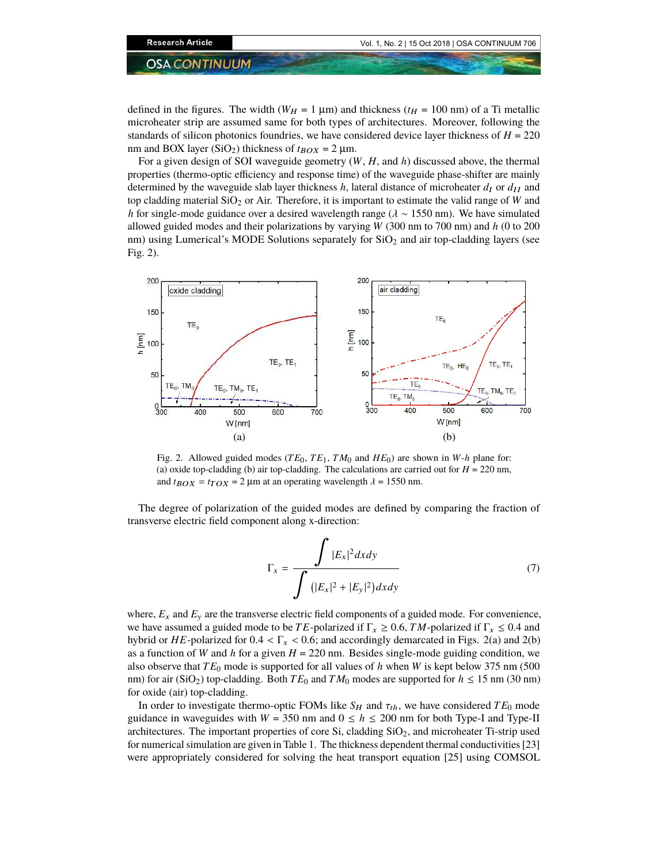defined in the figures. The width ( $W_H = 1 \mu m$ ) and thickness ( $t_H = 100 \text{ nm}$ ) of a Ti metallic microheater strip are assumed same for both types of architectures. Moreover, following the standards of silicon photonics foundries, we have considered device layer thickness of  $H = 220$ nm and BOX layer (SiO<sub>2</sub>) thickness of  $t_{\text{BOX}} = 2 \mu m$ .

For a given design of SOI waveguide geometry (*W*, *H*, and *h*) discussed above, the thermal properties (thermo-optic efficiency and response time) of the waveguide phase-shifter are mainly determined by the waveguide slab layer thickness  $h$ , lateral distance of microheater  $d_I$  or  $d_{II}$  and top cladding material SiO<sup>2</sup> or Air. Therefore, it is important to estimate the valid range of *W* and *h* for single-mode guidance over a desired wavelength range (λ ∼ 1550 nm). We have simulated allowed guided modes and their polarizations by varying *W* (300 nm to 700 nm) and *h* (0 to 200 nm) using Lumerical's MODE Solutions separately for  $SiO<sub>2</sub>$  and air top-cladding layers (see Fig. 2).



Fig. 2. Allowed guided modes ( $TE_0$ ,  $TE_1$ ,  $TM_0$  and  $HE_0$ ) are shown in  $W-h$  plane for: (a) oxide top-cladding (b) air top-cladding. The calculations are carried out for  $H = 220$  nm, and  $t_{\text{BOX}} = t_{\text{TOX}} = 2 \mu \text{m}$  at an operating wavelength  $\lambda = 1550 \text{ nm}$ .

The degree of polarization of the guided modes are defined by comparing the fraction of transverse electric field component along x-direction:

$$
\Gamma_x = \frac{\int |E_x|^2 dx dy}{\int (|E_x|^2 + |E_y|^2) dx dy}
$$
\n(7)

where,  $E_x$  and  $E_y$  are the transverse electric field components of a guided mode. For convenience, we have assumed a guided mode to be *TE*-polarized if  $\Gamma_x \ge 0.6$ , *TM*-polarized if  $\Gamma_x \le 0.4$  and hybrid or *HE*-polarized for  $0.4 < \Gamma_x < 0.6$ ; and accordingly demarcated in Figs. 2(a) and 2(b) as a function of *W* and *h* for a given  $H = 220$  nm. Besides single-mode guiding condition, we also observe that *TE*<sup>0</sup> mode is supported for all values of *h* when *W* is kept below 375 nm (500 nm) for air (SiO<sub>2</sub>) top-cladding. Both  $TE_0$  and  $TM_0$  modes are supported for  $h \le 15$  nm (30 nm) for oxide (air) top-cladding.

In order to investigate thermo-optic FOMs like  $S_H$  and  $\tau_{th}$ , we have considered  $TE_0$  mode guidance in waveguides with  $W = 350$  nm and  $0 \le h \le 200$  nm for both Type-I and Type-II architectures. The important properties of core Si, cladding SiO<sub>2</sub>, and microheater Ti-strip used for numerical simulation are given in Table 1. The thickness dependent thermal conductivities [23] were appropriately considered for solving the heat transport equation [25] using COMSOL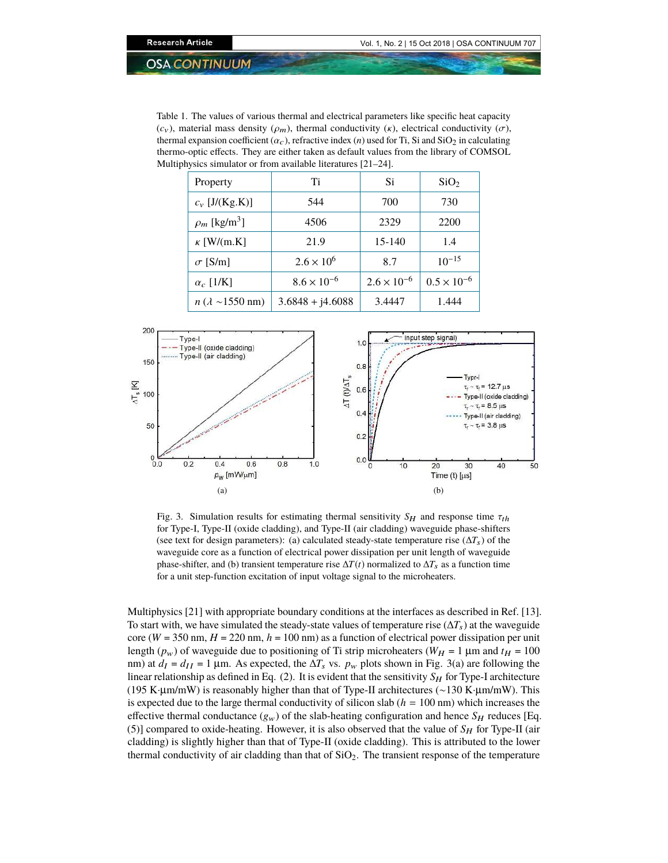Table 1. The values of various thermal and electrical parameters like specific heat capacity  $(c_v)$ , material mass density  $(\rho_m)$ , thermal conductivity  $(\kappa)$ , electrical conductivity  $(\sigma)$ , thermal expansion coefficient  $(\alpha_c)$ , refractive index (*n*) used for Ti, Si and SiO<sub>2</sub> in calculating thermo-optic effects. They are either taken as default values from the library of COMSOL Multiphysics simulator or from available literatures [21–24].

| Property                           | Ti                   | Si                   | SiO <sub>2</sub>     |
|------------------------------------|----------------------|----------------------|----------------------|
| $c_v$ [J/(Kg.K)]                   | 544                  | 700                  | 730                  |
| $\rho_m$ [kg/m <sup>3</sup> ]      | 4506                 | 2329                 | 2200                 |
| $\kappa$ [W/(m.K]                  | 21.9                 | $15 - 140$           | 1.4                  |
| $\sigma$ [S/m]                     | $2.6 \times 10^{6}$  | 8.7                  | $10^{-15}$           |
| $\alpha_c$ [1/K]                   | $8.6 \times 10^{-6}$ | $2.6 \times 10^{-6}$ | $0.5 \times 10^{-6}$ |
| $n (\lambda \sim 1550 \text{ nm})$ | $3.6848 + j4.6088$   | 3.4447               | 1.444                |



Fig. 3. Simulation results for estimating thermal sensitivity  $S_H$  and response time  $\tau_{th}$ for Type-I, Type-II (oxide cladding), and Type-II (air cladding) waveguide phase-shifters (see text for design parameters): (a) calculated steady-state temperature rise ( $\Delta T_s$ ) of the waveguide core as a function of electrical power dissipation per unit length of waveguide phase-shifter, and (b) transient temperature rise  $\Delta T(t)$  normalized to  $\Delta T_s$  as a function time for a unit step-function excitation of input voltage signal to the microheaters.

Multiphysics [21] with appropriate boundary conditions at the interfaces as described in Ref. [13]. To start with, we have simulated the steady-state values of temperature rise ( $\Delta T_s$ ) at the waveguide core ( $W = 350$  nm,  $H = 220$  nm,  $h = 100$  nm) as a function of electrical power dissipation per unit length ( $p_w$ ) of waveguide due to positioning of Ti strip microheaters ( $W_H = 1 \mu$ m and  $t_H = 100$ nm) at  $d_I = d_{II} = 1$  µm. As expected, the  $\Delta T_s$  vs.  $p_w$  plots shown in Fig. 3(a) are following the linear relationship as defined in Eq. (2). It is evident that the sensitivity  $S_H$  for Type-I architecture (195 K·µm/mW) is reasonably higher than that of Type-II architectures (∼130 K·µm/mW). This is expected due to the large thermal conductivity of silicon slab ( $h = 100$  nm) which increases the effective thermal conductance  $(g_w)$  of the slab-heating configuration and hence  $S_H$  reduces [Eq. (5)] compared to oxide-heating. However, it is also observed that the value of  $S_H$  for Type-II (air cladding) is slightly higher than that of Type-II (oxide cladding). This is attributed to the lower thermal conductivity of air cladding than that of  $SiO<sub>2</sub>$ . The transient response of the temperature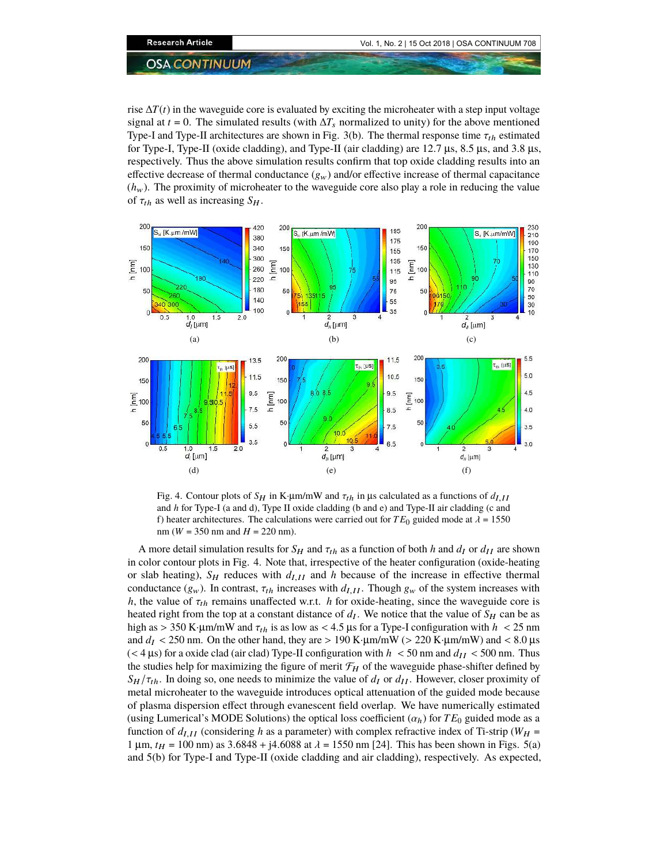rise ∆*T*(*t*) in the waveguide core is evaluated by exciting the microheater with a step input voltage signal at *t* = 0. The simulated results (with  $\Delta T_s$  normalized to unity) for the above mentioned Type-I and Type-II architectures are shown in Fig. 3(b). The thermal response time  $\tau_{th}$  estimated for Type-I, Type-II (oxide cladding), and Type-II (air cladding) are 12.7  $\mu$ s, 8.5  $\mu$ s, and 3.8  $\mu$ s, respectively. Thus the above simulation results confirm that top oxide cladding results into an effective decrease of thermal conductance  $(g_w)$  and/or effective increase of thermal capacitance  $(h_w)$ . The proximity of microheater to the waveguide core also play a role in reducing the value of  $\tau_{th}$  as well as increasing  $S_H$ .



Fig. 4. Contour plots of  $S_H$  in K·µm/mW and  $\tau_{th}$  in µs calculated as a functions of  $d_{I,II}$ and *h* for Type-I (a and d), Type II oxide cladding (b and e) and Type-II air cladding (c and f) heater architectures. The calculations were carried out for  $TE_0$  guided mode at  $\lambda = 1550$ nm (*W* = 350 nm and *H* = 220 nm).

A more detail simulation results for  $S_H$  and  $\tau_{th}$  as a function of both *h* and  $d_I$  or  $d_{II}$  are shown in color contour plots in Fig. 4. Note that, irrespective of the heater configuration (oxide-heating or slab heating),  $S_H$  reduces with  $d_{I,II}$  and h because of the increase in effective thermal conductance  $(g_w)$ . In contrast,  $\tau_{th}$  increases with  $d_{III}$ . Though  $g_w$  of the system increases with *h*, the value of  $\tau_{th}$  remains unaffected w.r.t. *h* for oxide-heating, since the waveguide core is heated right from the top at a constant distance of  $d_I$ . We notice that the value of  $S_H$  can be as high as  $> 350$  K·µm/mW and  $\tau_{th}$  is as low as  $< 4.5$  µs for a Type-I configuration with  $h < 25$  nm and  $d_I < 250$  nm. On the other hand, they are  $> 190$  K·µm/mW ( $> 220$  K·µm/mW) and  $< 8.0$  µs ( $<$  4  $\mu$ s) for a oxide clad (air clad) Type-II configuration with *h*  $<$  50 nm and *d*<sub>II</sub>  $<$  500 nm. Thus the studies help for maximizing the figure of merit  $\mathcal{F}_H$  of the waveguide phase-shifter defined by  $S_H / \tau_{th}$ . In doing so, one needs to minimize the value of  $d_I$  or  $d_{II}$ . However, closer proximity of metal microheater to the waveguide introduces optical attenuation of the guided mode because of plasma dispersion effect through evanescent field overlap. We have numerically estimated (using Lumerical's MODE Solutions) the optical loss coefficient  $(\alpha_h)$  for  $TE_0$  guided mode as a function of  $d_{I,II}$  (considering h as a parameter) with complex refractive index of Ti-strip ( $W_H$  = 1 μm,  $t_H$  = 100 nm) as 3.6848 + j4.6088 at  $\lambda$  = 1550 nm [24]. This has been shown in Figs. 5(a) and 5(b) for Type-I and Type-II (oxide cladding and air cladding), respectively. As expected,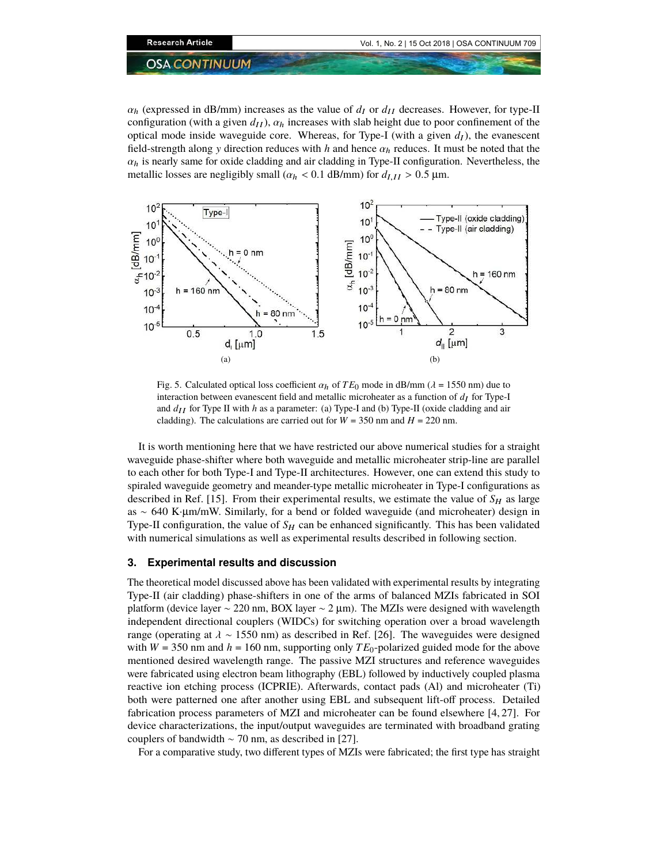$\alpha_h$  (expressed in dB/mm) increases as the value of  $d_I$  or  $d_{II}$  decreases. However, for type-II configuration (with a given  $d_{II}$ ),  $\alpha_h$  increases with slab height due to poor confinement of the optical mode inside waveguide core. Whereas, for Type-I (with a given  $d_I$ ), the evanescent field-strength along y direction reduces with *h* and hence  $\alpha_h$  reduces. It must be noted that the  $\alpha_h$  is nearly same for oxide cladding and air cladding in Type-II configuration. Nevertheless, the metallic losses are negligibly small ( $\alpha_h$  < 0.1 dB/mm) for  $d_{I,II} > 0.5$  µm.



Fig. 5. Calculated optical loss coefficient  $\alpha_h$  of  $TE_0$  mode in dB/mm ( $\lambda = 1550$  nm) due to interaction between evanescent field and metallic microheater as a function of  $d_I$  for Type-I and  $d_{II}$  for Type II with *h* as a parameter: (a) Type-I and (b) Type-II (oxide cladding and air cladding). The calculations are carried out for  $W = 350$  nm and  $H = 220$  nm.

It is worth mentioning here that we have restricted our above numerical studies for a straight waveguide phase-shifter where both waveguide and metallic microheater strip-line are parallel to each other for both Type-I and Type-II architectures. However, one can extend this study to spiraled waveguide geometry and meander-type metallic microheater in Type-I configurations as described in Ref. [15]. From their experimental results, we estimate the value of  $S_H$  as large as ∼ 640 K·µm/mW. Similarly, for a bend or folded waveguide (and microheater) design in Type-II configuration, the value of  $S_H$  can be enhanced significantly. This has been validated with numerical simulations as well as experimental results described in following section.

#### **3. Experimental results and discussion**

The theoretical model discussed above has been validated with experimental results by integrating Type-II (air cladding) phase-shifters in one of the arms of balanced MZIs fabricated in SOI platform (device layer ∼ 220 nm, BOX layer ∼ 2 µm). The MZIs were designed with wavelength independent directional couplers (WIDCs) for switching operation over a broad wavelength range (operating at  $\lambda \sim 1550$  nm) as described in Ref. [26]. The waveguides were designed with  $W = 350$  nm and  $h = 160$  nm, supporting only  $TE_0$ -polarized guided mode for the above mentioned desired wavelength range. The passive MZI structures and reference waveguides were fabricated using electron beam lithography (EBL) followed by inductively coupled plasma reactive ion etching process (ICPRIE). Afterwards, contact pads (Al) and microheater (Ti) both were patterned one after another using EBL and subsequent lift-off process. Detailed fabrication process parameters of MZI and microheater can be found elsewhere [4, 27]. For device characterizations, the input/output waveguides are terminated with broadband grating couplers of bandwidth  $\sim$  70 nm, as described in [27].

For a comparative study, two different types of MZIs were fabricated; the first type has straight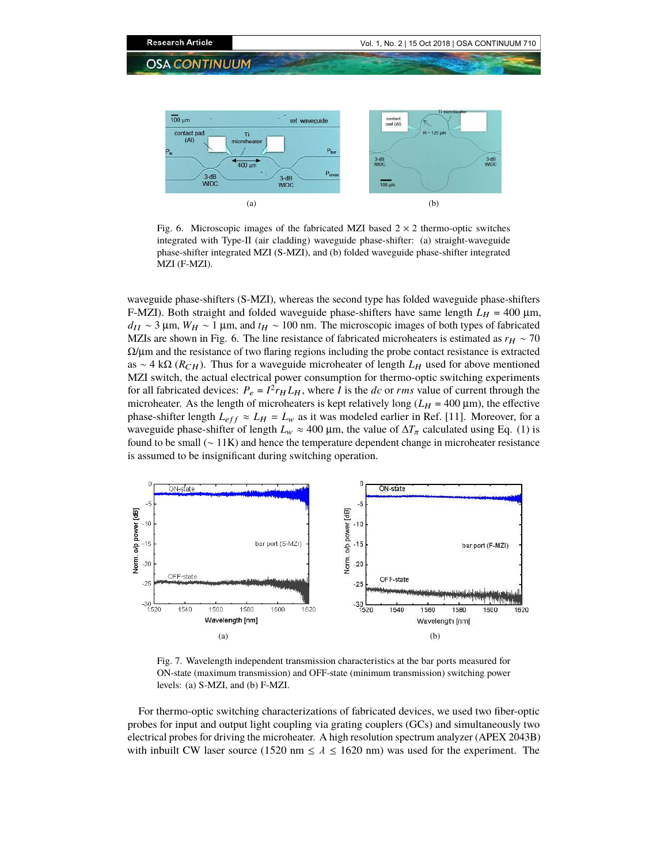

Fig. 6. Microscopic images of the fabricated MZI based  $2 \times 2$  thermo-optic switches integrated with Type-II (air cladding) waveguide phase-shifter: (a) straight-waveguide phase-shifter integrated MZI (S-MZI), and (b) folded waveguide phase-shifter integrated MZI (F-MZI).

waveguide phase-shifters (S-MZI), whereas the second type has folded waveguide phase-shifters F-MZI). Both straight and folded waveguide phase-shifters have same length  $L_H = 400 \mu m$ , *d<sub>II</sub>* ~ 3 μm, *W<sub>H</sub>* ~ 1 μm, and *t<sub>H</sub>* ~ 100 nm. The microscopic images of both types of fabricated MZIs are shown in Fig. 6. The line resistance of fabricated microheaters is estimated as  $r_H \sim 70$  $\Omega/\mu$ m and the resistance of two flaring regions including the probe contact resistance is extracted as ∼ 4 kΩ ( $R$ <sub>CH</sub>). Thus for a waveguide microheater of length  $L$ <sub>H</sub> used for above mentioned MZI switch, the actual electrical power consumption for thermo-optic switching experiments for all fabricated devices:  $P_e = I^2 r_H L_H$ , where *I* is the *dc* or *rms* value of current through the microheater. As the length of microheaters is kept relatively long ( $L_H$  = 400  $\mu$ m), the effective phase-shifter length  $L_{eff} \approx L_H = L_w$  as it was modeled earlier in Ref. [11]. Moreover, for a waveguide phase-shifter of length  $L_w \approx 400 \,\mu\text{m}$ , the value of  $\Delta T_\pi$  calculated using Eq. (1) is found to be small (∼ 11K) and hence the temperature dependent change in microheater resistance is assumed to be insignificant during switching operation.



Fig. 7. Wavelength independent transmission characteristics at the bar ports measured for ON-state (maximum transmission) and OFF-state (minimum transmission) switching power levels: (a) S-MZI, and (b) F-MZI.

For thermo-optic switching characterizations of fabricated devices, we used two fiber-optic probes for input and output light coupling via grating couplers (GCs) and simultaneously two electrical probes for driving the microheater. A high resolution spectrum analyzer (APEX 2043B) with inbuilt CW laser source (1520 nm  $\leq \lambda \leq 1620$  nm) was used for the experiment. The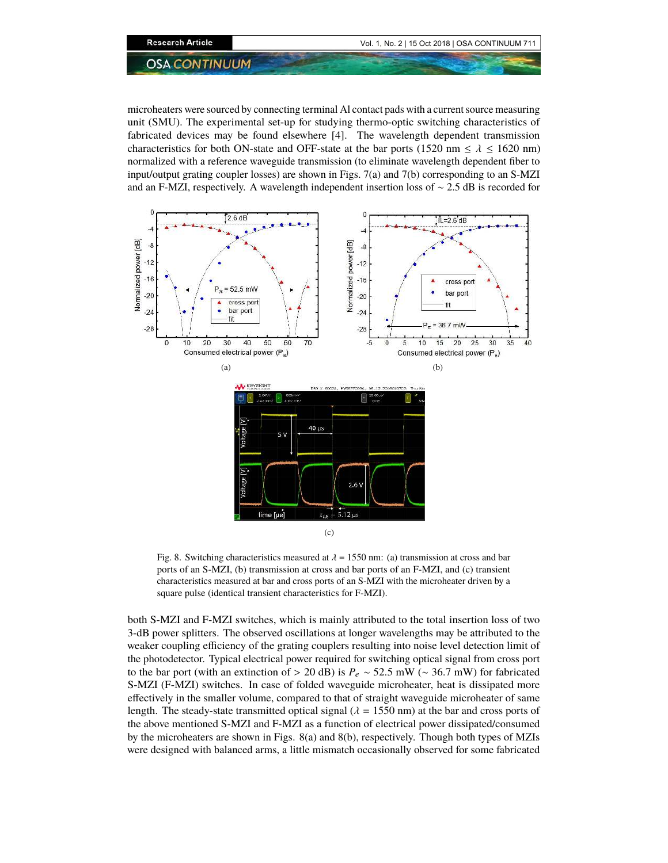microheaters were sourced by connecting terminal Al contact pads with a current source measuring unit (SMU). The experimental set-up for studying thermo-optic switching characteristics of fabricated devices may be found elsewhere [4]. The wavelength dependent transmission characteristics for both ON-state and OFF-state at the bar ports (1520 nm  $\leq \lambda \leq 1620$  nm) normalized with a reference waveguide transmission (to eliminate wavelength dependent fiber to input/output grating coupler losses) are shown in Figs. 7(a) and 7(b) corresponding to an S-MZI and an F-MZI, respectively. A wavelength independent insertion loss of ∼ 2.5 dB is recorded for



Fig. 8. Switching characteristics measured at  $\lambda = 1550$  nm: (a) transmission at cross and bar ports of an S-MZI, (b) transmission at cross and bar ports of an F-MZI, and (c) transient characteristics measured at bar and cross ports of an S-MZI with the microheater driven by a square pulse (identical transient characteristics for F-MZI).

both S-MZI and F-MZI switches, which is mainly attributed to the total insertion loss of two 3-dB power splitters. The observed oscillations at longer wavelengths may be attributed to the weaker coupling efficiency of the grating couplers resulting into noise level detection limit of the photodetector. Typical electrical power required for switching optical signal from cross port to the bar port (with an extinction of > 20 dB) is *P*<sup>e</sup> ∼ 52.5 mW (∼ 36.7 mW) for fabricated S-MZI (F-MZI) switches. In case of folded waveguide microheater, heat is dissipated more effectively in the smaller volume, compared to that of straight waveguide microheater of same length. The steady-state transmitted optical signal ( $\lambda = 1550$  nm) at the bar and cross ports of the above mentioned S-MZI and F-MZI as a function of electrical power dissipated/consumed by the microheaters are shown in Figs. 8(a) and 8(b), respectively. Though both types of MZIs were designed with balanced arms, a little mismatch occasionally observed for some fabricated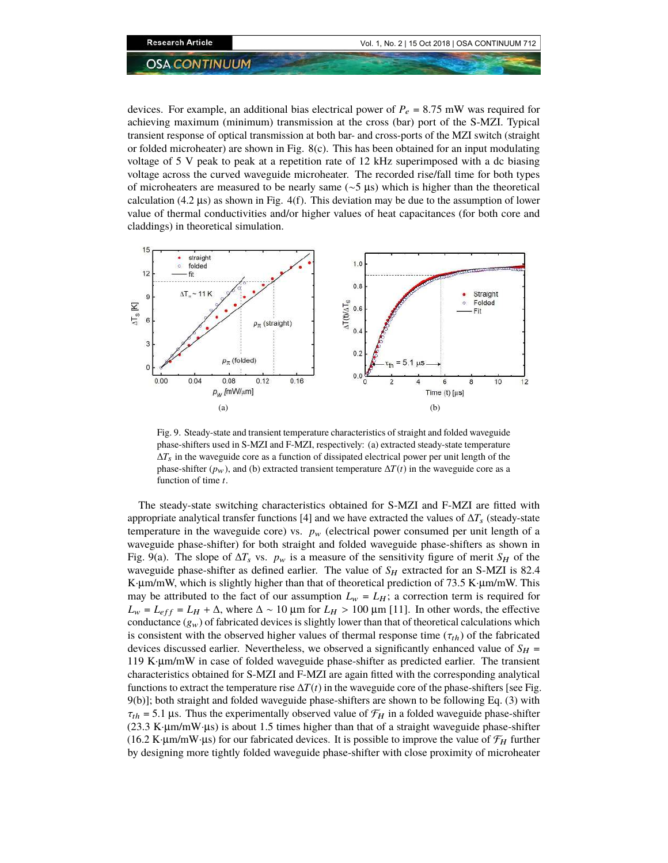devices. For example, an additional bias electrical power of  $P_e = 8.75$  mW was required for achieving maximum (minimum) transmission at the cross (bar) port of the S-MZI. Typical transient response of optical transmission at both bar- and cross-ports of the MZI switch (straight or folded microheater) are shown in Fig. 8(c). This has been obtained for an input modulating voltage of 5 V peak to peak at a repetition rate of 12 kHz superimposed with a dc biasing voltage across the curved waveguide microheater. The recorded rise/fall time for both types of microheaters are measured to be nearly same (∼5 µs) which is higher than the theoretical calculation (4.2  $\mu$ s) as shown in Fig. 4(f). This deviation may be due to the assumption of lower value of thermal conductivities and/or higher values of heat capacitances (for both core and claddings) in theoretical simulation.



Fig. 9. Steady-state and transient temperature characteristics of straight and folded waveguide phase-shifters used in S-MZI and F-MZI, respectively: (a) extracted steady-state temperature  $\Delta T_s$  in the waveguide core as a function of dissipated electrical power per unit length of the phase-shifter  $(p_w)$ , and (b) extracted transient temperature  $\Delta T(t)$  in the waveguide core as a function of time *t*.

The steady-state switching characteristics obtained for S-MZI and F-MZI are fitted with appropriate analytical transfer functions [4] and we have extracted the values of ∆*T*<sup>s</sup> (steady-state temperature in the waveguide core) vs.  $p_w$  (electrical power consumed per unit length of a waveguide phase-shifter) for both straight and folded waveguide phase-shifters as shown in Fig. 9(a). The slope of  $\Delta T_s$  vs.  $p_w$  is a measure of the sensitivity figure of merit  $S_H$  of the waveguide phase-shifter as defined earlier. The value of  $S_H$  extracted for an S-MZI is 82.4 K $\mu$ m/mW, which is slightly higher than that of theoretical prediction of 73.5 K $\mu$ m/mW. This may be attributed to the fact of our assumption  $L_w = L_H$ ; a correction term is required for  $L_w = L_{eff} = L_H + \Delta$ , where  $\Delta \sim 10 \mu m$  for  $L_H > 100 \mu m$  [11]. In other words, the effective conductance  $(g_w)$  of fabricated devices is slightly lower than that of theoretical calculations which is consistent with the observed higher values of thermal response time ( $\tau_{th}$ ) of the fabricated devices discussed earlier. Nevertheless, we observed a significantly enhanced value of  $S_H$  = 119 K·µm/mW in case of folded waveguide phase-shifter as predicted earlier. The transient characteristics obtained for S-MZI and F-MZI are again fitted with the corresponding analytical functions to extract the temperature rise  $\Delta T(t)$  in the waveguide core of the phase-shifters [see Fig. 9(b)]; both straight and folded waveguide phase-shifters are shown to be following Eq. (3) with  $\tau_{th}$  = 5.1 µs. Thus the experimentally observed value of  $\mathcal{F}_H$  in a folded waveguide phase-shifter  $(23.3 \text{ K·µm/mW·µs})$  is about 1.5 times higher than that of a straight waveguide phase-shifter (16.2 K·µm/mW·µs) for our fabricated devices. It is possible to improve the value of  $\mathcal{F}_H$  further by designing more tightly folded waveguide phase-shifter with close proximity of microheater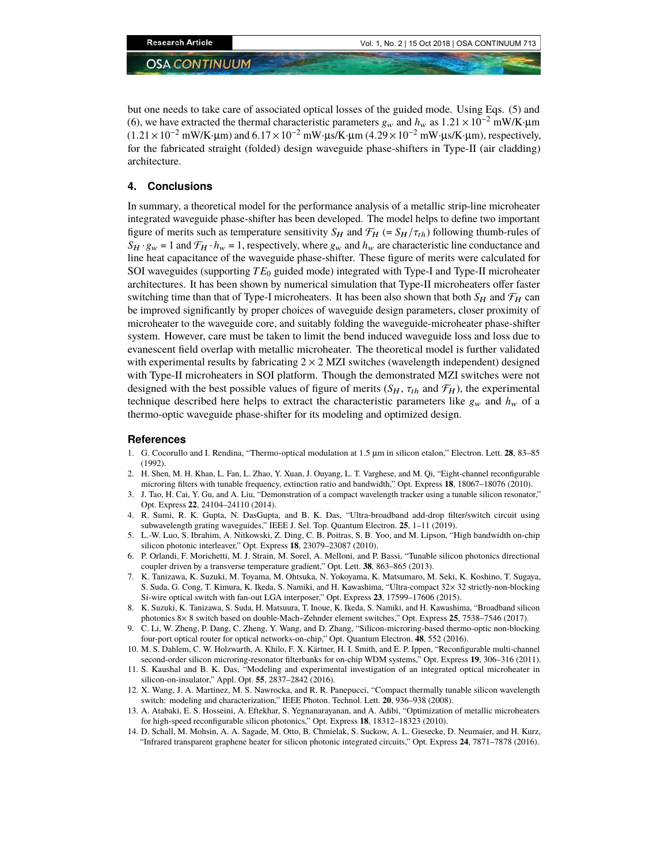but one needs to take care of associated optical losses of the guided mode. Using Eqs. (5) and (6), we have extracted the thermal characteristic parameters  $g_w$  and  $h_w$  as  $1.21 \times 10^{-2}$  mW/K·µm  $(1.21 \times 10^{-2} \text{ mW/K} \cdot \mu \text{m})$  and  $6.17 \times 10^{-2} \text{ mW} \cdot \mu \text{s/K} \cdot \mu \text{m}$  (4.29 × 10<sup>-2</sup> mW· $\mu \text{s/K} \cdot \mu \text{m}$ ), respectively, for the fabricated straight (folded) design waveguide phase-shifters in Type-II (air cladding) architecture.

### **4. Conclusions**

In summary, a theoretical model for the performance analysis of a metallic strip-line microheater integrated waveguide phase-shifter has been developed. The model helps to define two important figure of merits such as temperature sensitivity  $S_H$  and  $\mathcal{F}_H$  (=  $S_H / \tau_{th}$ ) following thumb-rules of  $S_H \cdot g_w = 1$  and  $\mathcal{F}_H \cdot h_w = 1$ , respectively, where  $g_w$  and  $h_w$  are characteristic line conductance and line heat capacitance of the waveguide phase-shifter. These figure of merits were calculated for SOI waveguides (supporting *TE*<sup>0</sup> guided mode) integrated with Type-I and Type-II microheater architectures. It has been shown by numerical simulation that Type-II microheaters offer faster switching time than that of Type-I microheaters. It has been also shown that both  $S_H$  and  $\mathcal{F}_H$  can be improved significantly by proper choices of waveguide design parameters, closer proximity of microheater to the waveguide core, and suitably folding the waveguide-microheater phase-shifter system. However, care must be taken to limit the bend induced waveguide loss and loss due to evanescent field overlap with metallic microheater. The theoretical model is further validated with experimental results by fabricating  $2 \times 2$  MZI switches (wavelength independent) designed with Type-II microheaters in SOI platform. Though the demonstrated MZI switches were not designed with the best possible values of figure of merits  $(S_H, \tau_{th}$  and  $\mathcal{F}_H$ ), the experimental technique described here helps to extract the characteristic parameters like  $g_w$  and  $h_w$  of a thermo-optic waveguide phase-shifter for its modeling and optimized design.

#### **References**

- 1. G. Cocorullo and I. Rendina, "Thermo-optical modulation at 1.5 µm in silicon etalon," Electron. Lett. **28**, 83–85 (1992).
- 2. H. Shen, M. H. Khan, L. Fan, L. Zhao, Y. Xuan, J. Ouyang, L. T. Varghese, and M. Qi, "Eight-channel reconfigurable microring filters with tunable frequency, extinction ratio and bandwidth," Opt. Express **18**, 18067–18076 (2010).
- 3. J. Tao, H. Cai, Y. Gu, and A. Liu, "Demonstration of a compact wavelength tracker using a tunable silicon resonator," Opt. Express **22**, 24104–24110 (2014).
- 4. R. Sumi, R. K. Gupta, N. DasGupta, and B. K. Das, "Ultra-broadband add-drop filter/switch circuit using subwavelength grating waveguides," IEEE J. Sel. Top. Quantum Electron. **25**, 1–11 (2019).
- 5. L.-W. Luo, S. Ibrahim, A. Nitkowski, Z. Ding, C. B. Poitras, S. B. Yoo, and M. Lipson, "High bandwidth on-chip silicon photonic interleaver," Opt. Express **18**, 23079–23087 (2010).
- 6. P. Orlandi, F. Morichetti, M. J. Strain, M. Sorel, A. Melloni, and P. Bassi, "Tunable silicon photonics directional coupler driven by a transverse temperature gradient," Opt. Lett. **38**, 863–865 (2013).
- 7. K. Tanizawa, K. Suzuki, M. Toyama, M. Ohtsuka, N. Yokoyama, K. Matsumaro, M. Seki, K. Koshino, T. Sugaya, S. Suda, G. Cong, T. Kimura, K. Ikeda, S. Namiki, and H. Kawashima, "Ultra-compact 32× 32 strictly-non-blocking Si-wire optical switch with fan-out LGA interposer," Opt. Express **23**, 17599–17606 (2015).
- 8. K. Suzuki, K. Tanizawa, S. Suda, H. Matsuura, T. Inoue, K. Ikeda, S. Namiki, and H. Kawashima, "Broadband silicon photonics 8× 8 switch based on double-Mach–Zehnder element switches," Opt. Express **25**, 7538–7546 (2017).
- 9. C. Li, W. Zheng, P. Dang, C. Zheng, Y. Wang, and D. Zhang, "Silicon-microring-based thermo-optic non-blocking four-port optical router for optical networks-on-chip," Opt. Quantum Electron. **48**, 552 (2016).
- 10. M. S. Dahlem, C. W. Holzwarth, A. Khilo, F. X. Kärtner, H. I. Smith, and E. P. Ippen, "Reconfigurable multi-channel second-order silicon microring-resonator filterbanks for on-chip WDM systems," Opt. Express **19**, 306–316 (2011).
- 11. S. Kaushal and B. K. Das, "Modeling and experimental investigation of an integrated optical microheater in silicon-on-insulator," Appl. Opt. **55**, 2837–2842 (2016).
- 12. X. Wang, J. A. Martinez, M. S. Nawrocka, and R. R. Panepucci, "Compact thermally tunable silicon wavelength switch: modeling and characterization," IEEE Photon. Technol. Lett. **20**, 936–938 (2008).
- 13. A. Atabaki, E. S. Hosseini, A. Eftekhar, S. Yegnanarayanan, and A. Adibi, "Optimization of metallic microheaters for high-speed reconfigurable silicon photonics," Opt. Express **18**, 18312–18323 (2010).
- 14. D. Schall, M. Mohsin, A. A. Sagade, M. Otto, B. Chmielak, S. Suckow, A. L. Giesecke, D. Neumaier, and H. Kurz, "Infrared transparent graphene heater for silicon photonic integrated circuits," Opt. Express **24**, 7871–7878 (2016).